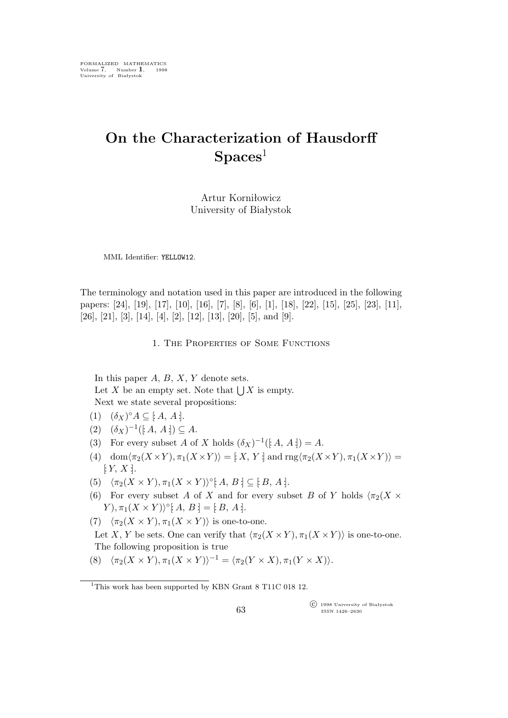# **On the Characterization of Hausdorff Spaces**<sup>1</sup>

Artur Korniłowicz University of Białystok

MML Identifier: YELLOW12.

The terminology and notation used in this paper are introduced in the following papers: [24], [19], [17], [10], [16], [7], [8], [6], [1], [18], [22], [15], [25], [23], [11], [26], [21], [3], [14], [4], [2], [12], [13], [20], [5], and [9].

1. The Properties of Some Functions

In this paper  $A, B, X, Y$  denote sets. Let X be an empty set. Note that  $\bigcup X$  is empty. Next we state several propositions:

- (1)  $(\delta_X)^{\circ} A \subseteq [A, A].$
- (2)  $(\delta_X)^{-1}([A, A]) \subseteq A$ .
- (3) For every subset A of X holds  $(\delta_X)^{-1}([\mathcal{A}, \mathcal{A}]) = A$ .
- (4) dom $\langle \pi_2(X \times Y), \pi_1(X \times Y) \rangle = [X, Y]$  and  $\text{rng}\langle \pi_2(X \times Y), \pi_1(X \times Y) \rangle =$  $\lbrack Y, X \rbrack.$
- (5)  $\langle \pi_2(X \times Y), \pi_1(X \times Y) \rangle^\circ$  [ $A, B \in [B, A]$ .
- (6) For every subset A of X and for every subset B of Y holds  $\langle \pi_2(X \times Y) \rangle$  $(Y), \pi_1(X \times Y)$ <sup>o</sup>: A, B : = [: B, A :].
- (7)  $\langle \pi_2(X \times Y), \pi_1(X \times Y) \rangle$  is one-to-one.
- Let X, Y be sets. One can verify that  $\langle \pi_2(X \times Y), \pi_1(X \times Y) \rangle$  is one-to-one. The following proposition is true
- $(\sqrt{8})$   $\langle \pi_2(X \times Y), \pi_1(X \times Y) \rangle^{-1} = \langle \pi_2(Y \times X), \pi_1(Y \times X) \rangle.$

°c 1998 University of Białystok ISSN 1426–2630

<sup>&</sup>lt;sup>1</sup>This work has been supported by KBN Grant 8 T11C 018 12.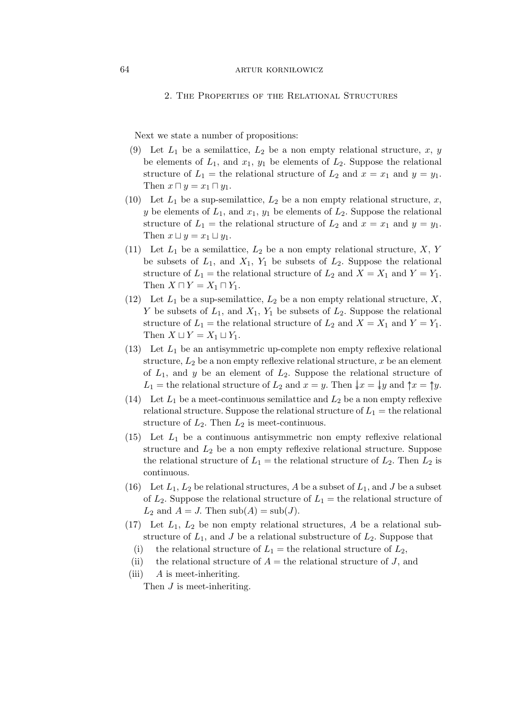### 64 **ARTUR KORNIŁOWICZ**

#### 2. The Properties of the Relational Structures

Next we state a number of propositions:

- (9) Let  $L_1$  be a semilattice,  $L_2$  be a non empty relational structure, x, y be elements of  $L_1$ , and  $x_1$ ,  $y_1$  be elements of  $L_2$ . Suppose the relational structure of  $L_1$  = the relational structure of  $L_2$  and  $x = x_1$  and  $y = y_1$ . Then  $x \sqcap y = x_1 \sqcap y_1$ .
- (10) Let  $L_1$  be a sup-semilattice,  $L_2$  be a non empty relational structure, x, y be elements of  $L_1$ , and  $x_1$ ,  $y_1$  be elements of  $L_2$ . Suppose the relational structure of  $L_1$  = the relational structure of  $L_2$  and  $x = x_1$  and  $y = y_1$ . Then  $x \sqcup y = x_1 \sqcup y_1$ .
- (11) Let  $L_1$  be a semilattice,  $L_2$  be a non empty relational structure,  $X, Y$ be subsets of  $L_1$ , and  $X_1$ ,  $Y_1$  be subsets of  $L_2$ . Suppose the relational structure of  $L_1$  = the relational structure of  $L_2$  and  $X = X_1$  and  $Y = Y_1$ . Then  $X \sqcap Y = X_1 \sqcap Y_1$ .
- (12) Let  $L_1$  be a sup-semilattice,  $L_2$  be a non empty relational structure, X, Y be subsets of  $L_1$ , and  $X_1$ ,  $Y_1$  be subsets of  $L_2$ . Suppose the relational structure of  $L_1$  = the relational structure of  $L_2$  and  $X = X_1$  and  $Y = Y_1$ . Then  $X \sqcup Y = X_1 \sqcup Y_1$ .
- (13) Let  $L_1$  be an antisymmetric up-complete non empty reflexive relational structure,  $L_2$  be a non empty reflexive relational structure, x be an element of  $L_1$ , and y be an element of  $L_2$ . Suppose the relational structure of L<sub>1</sub> = the relational structure of L<sub>2</sub> and  $x = y$ . Then  $\downarrow x = \downarrow y$  and  $\uparrow x = \uparrow y$ .
- (14) Let  $L_1$  be a meet-continuous semilattice and  $L_2$  be a non empty reflexive relational structure. Suppose the relational structure of  $L_1 =$  the relational structure of  $L_2$ . Then  $L_2$  is meet-continuous.
- (15) Let  $L_1$  be a continuous antisymmetric non empty reflexive relational structure and  $L_2$  be a non empty reflexive relational structure. Suppose the relational structure of  $L_1$  = the relational structure of  $L_2$ . Then  $L_2$  is continuous.
- (16) Let  $L_1, L_2$  be relational structures, A be a subset of  $L_1$ , and J be a subset of  $L_2$ . Suppose the relational structure of  $L_1$  = the relational structure of  $L_2$  and  $A = J$ . Then  $\mathrm{sub}(A) = \mathrm{sub}(J)$ .
- $(17)$  Let  $L_1$ ,  $L_2$  be non empty relational structures, A be a relational substructure of  $L_1$ , and J be a relational substructure of  $L_2$ . Suppose that
	- (i) the relational structure of  $L_1$  = the relational structure of  $L_2$ ,
	- (ii) the relational structure of  $A =$  the relational structure of J, and
- (iii)  $\overline{A}$  is meet-inheriting.

Then *J* is meet-inheriting.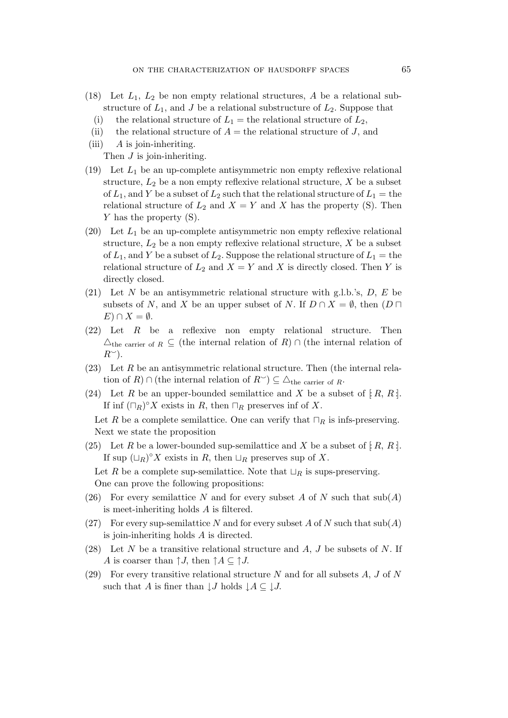- (18) Let  $L_1$ ,  $L_2$  be non empty relational structures, A be a relational substructure of  $L_1$ , and J be a relational substructure of  $L_2$ . Suppose that
	- (i) the relational structure of  $L_1$  = the relational structure of  $L_2$ ,
	- (ii) the relational structure of  $A =$  the relational structure of J, and
- (iii)  $\overline{A}$  is join-inheriting. Then  $J$  is join-inheriting.
- (19) Let  $L_1$  be an up-complete antisymmetric non empty reflexive relational structure,  $L_2$  be a non empty reflexive relational structure,  $X$  be a subset of  $L_1$ , and Y be a subset of  $L_2$  such that the relational structure of  $L_1 =$  the relational structure of  $L_2$  and  $X = Y$  and X has the property (S). Then Y has the property (S).
- (20) Let  $L_1$  be an up-complete antisymmetric non empty reflexive relational structure,  $L_2$  be a non empty reflexive relational structure,  $X$  be a subset of  $L_1$ , and Y be a subset of  $L_2$ . Suppose the relational structure of  $L_1 =$  the relational structure of  $L_2$  and  $X = Y$  and X is directly closed. Then Y is directly closed.
- (21) Let N be an antisymmetric relational structure with g.l.b.'s,  $D, E$  be subsets of N, and X be an upper subset of N. If  $D \cap X = \emptyset$ , then  $(D \sqcap$  $E) \cap X = ∅.$
- (22) Let R be a reflexive non empty relational structure. Then  $\triangle$ <sub>the carrier of  $R$  ⊆ (the internal relation of  $R$ )  $\cap$  (the internal relation of</sub>  $R^{\sim}$ ).
- $(23)$  Let R be an antisymmetric relational structure. Then (the internal relation of  $R$ )  $\cap$  (the internal relation of  $R^{\sim}$ )  $\subseteq \triangle$ <sub>the carrier of  $R$ .</sub>
- (24) Let R be an upper-bounded semilattice and X be a subset of  $[R, R]$ . If inf  $(\Box_R)^\circ X$  exists in R, then  $\Box_R$  preserves inf of X.

Let R be a complete semilattice. One can verify that  $\sqcap_R$  is infs-preserving. Next we state the proposition

(25) Let R be a lower-bounded sup-semilattice and X be a subset of  $[R, R]$ . If sup  $(L_R)^\circ X$  exists in R, then  $\sqcup_R$  preserves sup of X.

Let R be a complete sup-semilattice. Note that  $\sqcup_R$  is sups-preserving. One can prove the following propositions:

- (26) For every semilattice N and for every subset A of N such that  $\text{sub}(A)$ is meet-inheriting holds A is filtered.
- (27) For every sup-semilattice N and for every subset A of N such that  $\text{sub}(A)$ is join-inheriting holds A is directed.
- (28) Let N be a transitive relational structure and  $A, J$  be subsets of N. If A is coarser than  $\uparrow J$ , then  $\uparrow A \subseteq \uparrow J$ .
- (29) For every transitive relational structure  $N$  and for all subsets  $A, J$  of  $N$ such that A is finer than  $\downarrow J$  holds  $\downarrow A \subseteq \downarrow J$ .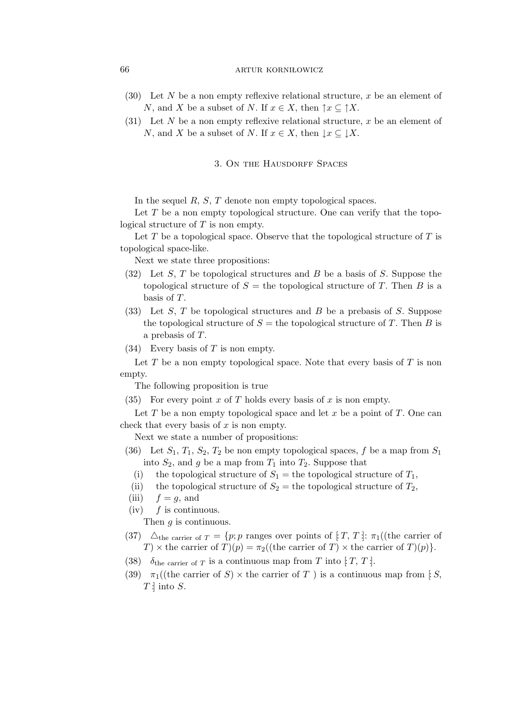# 66 **ARTUR KORNIŁOWICZ**

- (30) Let N be a non empty reflexive relational structure, x be an element of N, and X be a subset of N. If  $x \in X$ , then  $\uparrow x \subseteq \uparrow X$ .
- (31) Let N be a non empty reflexive relational structure, x be an element of N, and X be a subset of N. If  $x \in X$ , then  $\downarrow x \subseteq \downarrow X$ .

# 3. ON THE HAUSDORFF SPACES

In the sequel R, S, T denote non empty topological spaces.

Let  $T$  be a non empty topological structure. One can verify that the topological structure of  $T$  is non empty.

Let  $T$  be a topological space. Observe that the topological structure of  $T$  is topological space-like.

Next we state three propositions:

- $(32)$  Let S, T be topological structures and B be a basis of S. Suppose the topological structure of  $S =$  the topological structure of T. Then B is a basis of T.
- (33) Let S, T be topological structures and B be a prebasis of S. Suppose the topological structure of  $S =$  the topological structure of T. Then B is a prebasis of T.
- $(34)$  Every basis of T is non empty.

Let  $T$  be a non empty topological space. Note that every basis of  $T$  is non empty.

The following proposition is true

(35) For every point x of T holds every basis of x is non empty.

Let T be a non empty topological space and let x be a point of T. One can check that every basis of  $x$  is non empty.

Next we state a number of propositions:

- (36) Let  $S_1$ ,  $T_1$ ,  $S_2$ ,  $T_2$  be non empty topological spaces, f be a map from  $S_1$ into  $S_2$ , and g be a map from  $T_1$  into  $T_2$ . Suppose that
	- (i) the topological structure of  $S_1$  = the topological structure of  $T_1$ ,
	- (ii) the topological structure of  $S_2$  = the topological structure of  $T_2$ ,
- (iii)  $f = g$ , and
- $(iv)$  f is continuous.

Then  $q$  is continuous.

- (37)  $\Delta_{\text{the carrier of } T} = \{p; p \text{ ranges over points of } [T, T] : \pi_1((\text{the carrier of})$ T)  $\times$  the carrier of  $T(p) = \pi_2((\text{the carrier of } T) \times \text{the carrier of } T)(p)$ .
- (38)  $\delta_{\text{the carrier of } T}$  is a continuous map from T into  $[T, T]$ .
- (39)  $\pi_1$ ((the carrier of S)  $\times$  the carrier of T) is a continuous map from [S,  $T$  : into  $S$ .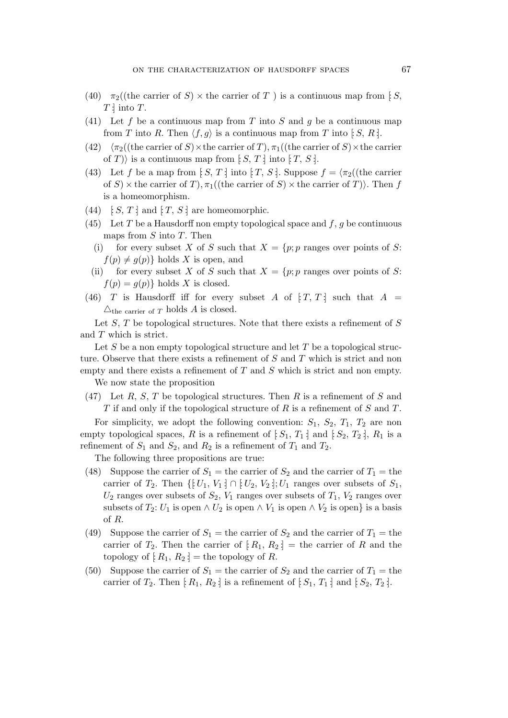- (40)  $\pi_2$  ((the carrier of S)  $\times$  the carrier of T) is a continuous map from [: S,  $T$  : into  $T$ .
- (41) Let f be a continuous map from T into S and g be a continuous map from T into R. Then  $\langle f, g \rangle$  is a continuous map from T into [S, R].
- (42)  $\langle \pi_2((\text{the carrier of } S) \times \text{the carrier of } T), \pi_1((\text{the carrier of } S) \times \text{the carrier})\rangle$ of T) is a continuous map from  $[S, T]$  into  $[T, S]$ .
- (43) Let f be a map from [ $S, T$  ] into [ $T, S$ ]. Suppose  $f = \langle \pi_2 \rangle$  (the carrier of S)  $\times$  the carrier of T),  $\pi_1$  ((the carrier of S)  $\times$  the carrier of T)). Then f is a homeomorphism.
- (44)  $\colon S, T$  and  $\colon T, S$  are homeomorphic.
- (45) Let T be a Hausdorff non empty topological space and  $f, g$  be continuous maps from  $S$  into  $T$ . Then
	- (i) for every subset X of S such that  $X = \{p; p \text{ ranges over points of } S\}$ :  $f(p) \neq g(p)$ } holds X is open, and
	- (ii) for every subset X of S such that  $X = \{p; p \text{ ranges over points of } S\}$ .  $f(p) = g(p)$ } holds X is closed.
- (46) T is Hausdorff iff for every subset A of  $[T, T]$  such that  $A =$  $\triangle$ <sub>the carrier of T</sub> holds A is closed.

Let  $S$ ,  $T$  be topological structures. Note that there exists a refinement of  $S$ and T which is strict.

Let  $S$  be a non empty topological structure and let  $T$  be a topological structure. Observe that there exists a refinement of S and T which is strict and non empty and there exists a refinement of  $T$  and  $S$  which is strict and non empty.

We now state the proposition

(47) Let R, S, T be topological structures. Then R is a refinement of S and  $T$  if and only if the topological structure of  $R$  is a refinement of  $S$  and  $T$ .

For simplicity, we adopt the following convention:  $S_1$ ,  $S_2$ ,  $T_1$ ,  $T_2$  are non empty topological spaces, R is a refinement of  $[S_1, T_1]$  and  $[S_2, T_2]$ ,  $R_1$  is a refinement of  $S_1$  and  $S_2$ , and  $R_2$  is a refinement of  $T_1$  and  $T_2$ .

The following three propositions are true:

- (48) Suppose the carrier of  $S_1$  = the carrier of  $S_2$  and the carrier of  $T_1$  = the carrier of  $T_2$ . Then  $\{[U_1, V_1] \cap [U_2, V_2] \}$ ;  $U_1$  ranges over subsets of  $S_1$ ,  $U_2$  ranges over subsets of  $S_2$ ,  $V_1$  ranges over subsets of  $T_1$ ,  $V_2$  ranges over subsets of  $T_2: U_1$  is open  $\wedge U_2$  is open  $\wedge V_1$  is open  $\wedge V_2$  is open  $\}$  is a basis of R.
- (49) Suppose the carrier of  $S_1$  = the carrier of  $S_2$  and the carrier of  $T_1$  = the carrier of  $T_2$ . Then the carrier of  $[R_1, R_2] =$  the carrier of R and the topology of  $[R_1, R_2] =$  the topology of R.
- (50) Suppose the carrier of  $S_1$  = the carrier of  $S_2$  and the carrier of  $T_1$  = the carrier of  $T_2$ . Then  $[R_1, R_2]$  is a refinement of  $[S_1, T_1]$  and  $[S_2, T_2]$ .